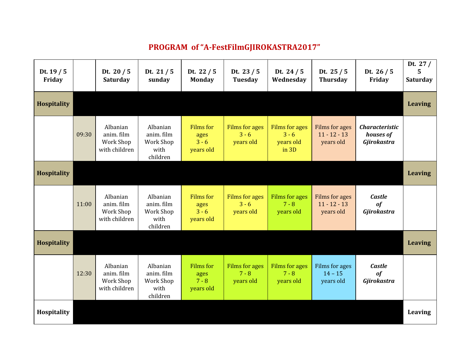## **PROGRAM of "A-FestFilmGJIROKASTRA2017"**

| Dt. $19/5$<br>Friday |       | Dt. $20/5$<br>Saturday                               | Dt. $21/5$<br>sunday                                    | Dt. $22/5$<br><b>Monday</b>                      | Dt. $23/5$<br><b>Tuesday</b>           | Dt. $24/5$<br>Wednesday                         | Dt. $25/5$<br><b>Thursday</b>                        | Dt. $26/5$<br>Friday                              | Dt. $27/$<br>5.<br>Saturday |
|----------------------|-------|------------------------------------------------------|---------------------------------------------------------|--------------------------------------------------|----------------------------------------|-------------------------------------------------|------------------------------------------------------|---------------------------------------------------|-----------------------------|
| <b>Hospitality</b>   |       |                                                      |                                                         |                                                  |                                        |                                                 |                                                      |                                                   | <b>Leaving</b>              |
|                      | 09:30 | Albanian<br>anim. film<br>Work Shop<br>with children | Albanian<br>anim. film<br>Work Shop<br>with<br>children | Films for<br>ages<br>$3 - 6$<br>years old        | Films for ages<br>$3 - 6$<br>years old | Films for ages<br>$3 - 6$<br>years old<br>in 3D | Films for ages<br>$11 - 12 - 13$<br>years old        | <b>Characteristic</b><br>houses of<br>Gjirokastra |                             |
| <b>Hospitality</b>   |       |                                                      |                                                         |                                                  |                                        |                                                 |                                                      |                                                   | <b>Leaving</b>              |
|                      | 11:00 | Albanian<br>anim. film<br>Work Shop<br>with children | Albanian<br>anim. film<br>Work Shop<br>with<br>children | <b>Films</b> for<br>ages<br>$3 - 6$<br>years old | Films for ages<br>$3 - 6$<br>years old | Films for ages<br>$7 - 8$<br>years old          | <b>Films for ages</b><br>$11 - 12 - 13$<br>years old | <b>Castle</b><br>of<br>Gjirokastra                |                             |
| <b>Hospitality</b>   |       |                                                      |                                                         |                                                  |                                        |                                                 |                                                      |                                                   | <b>Leaving</b>              |
|                      | 12:30 | Albanian<br>anim. film<br>Work Shop<br>with children | Albanian<br>anim. film<br>Work Shop<br>with<br>children | <b>Films</b> for<br>ages<br>$7 - 8$<br>years old | Films for ages<br>$7 - 8$<br>years old | Films for ages<br>$7 - 8$<br>years old          | Films for ages<br>$14 - 15$<br>years old             | <b>Castle</b><br>of<br>Gjirokastra                |                             |
| Hospitality          |       |                                                      |                                                         |                                                  |                                        |                                                 |                                                      |                                                   | Leaving                     |